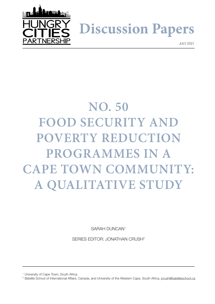

**Discussion Papers**

JULY 2021

# **NO. 50 FOOD SECURITY AND POVERTY REDUCTION PROGRAMMES IN A CAPE TOWN COMMUNITY: A QUALITATIVE STUDY**

SARAH DUNCAN1

SERIES EDITOR: JONATHAN CRUSH2

<sup>1</sup> University of Cape Town, South Africa

<sup>2</sup> Balsillie School of International Affairs, Canada, and University of the Western Cape, South Africa, [jcrush@balsillieschool.ca](mailto:jcrush%40balsillieschool.ca?subject=)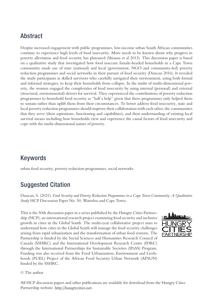### Abstract

Despite increased engagement with public programmes, low-income urban South African communities continue to experience high levels of food insecurity. More needs to be known about why progress in poverty alleviation and food security has plateaued (Shisana et al 2013). This discussion paper is based on a qualitative study that investigated how food insecure female-headed households in a Cape Town community made use of state (national) and local (government, NGO and community-led) poverty reduction programmes and social networks in their pursuit of food security (Duncan 2016). It revealed the study participants as skilled survivors who carefully navigated their environment, using both formal and informal strategies, to keep their households from collapse. In the midst of multi-dimensional poverty, the women engaged the complexities of food insecurity by using internal (personal) and external (structural, environmental) drivers for survival. They experienced the contributions of poverty reduction programmes to household food security as "half a help" given that these programmes only helped them to sustain rather than uplift them from their circumstances. To better address food insecurity, state and local poverty reduction programmes should improve their collaboration with each other, the communities that they serve (their aspirations, functioning and capabilities), and their understanding of existing local survival means including how households view and experience the causal factors of food insecurity and cope with the multi-dimensional nature of poverty.

# Keywords

urban food security, poverty reduction programmes, social networks

# Suggested Citation

Duncan, S. (2021). *Food Security and Poverty Reduction Programmes in a Cape Town Community: A Qualitative Study* HCP Discussion Paper No. 50, Waterloo and Cape Town.

This is the 50th discussion paper in a series published by the Hungry Cities Partnership (HCP), an international research project examining food security and inclusive growth in cities in the Global South. The multi-year collaborative project aims to understand how cities in the Global South will manage the food security challenges arising from rapid urbanization and the transformation of urban food systems. The Partnership is funded by the Social Sciences and Humanities Research Council of Canada (SSHRC) and the International Development Research Centre (IDRC) through the International Partnerships for Sustainable Societies (IPaSS) Program. Funding was also received from the Food Urbanization, Environment and Livelihoods (FUEL) Project of the African Food Security Urban Network (AFSUN) funded by the SSHRC.



#### © The author

All HCP discussion papers and other publications are available for download from the Hungry Cities Partnership website: http://hungrycities.net.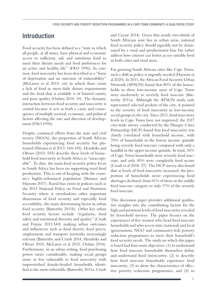### Introduction

Food security has been defined as a "state in which all people, at all times, have physical and economic access to sufficient, safe and nutritious food to meet their dietary needs and food preferences for an active and healthy life" (FAO 1996). In contrast, food insecurity has been described as a "form of deprivation and an outcome of vulnerability" (McLaren et al 2015: xii) in which there exists a lack of food to meet daily dietary requirements and the food that is available is of limited variety and poor quality (Oxfam 2014: 10). The dynamic interaction between food security and insecurity is central because it acts as both a cause and consequence of multiple societal, economic, and political factors affecting the rate and direction of development (FAO 1996).

Despite continued efforts from the state and civil society (NGOs), the proportion of South African households experiencing food security has plateaued (Shisana et al 2013: 144-145). Hendriks and Olivier (2015: 555) describe these levels of household food insecurity in South Africa as "unacceptable". To date, the main food security policy focus in South Africa has been on supporting rural food production. This is out of keeping with the country's highly-urbanized population (Skinner and Haysom 2017). Rural bias exists in policies such as the 2013 National Policy on Food and Nutrition Security where it overshadows other important dimensions of food security and especially food accessibility, the main determining factor in urban food security (Battersby 2011b). Other key urban food security factors include "regularity, food safety and nutritional diversity and quality" (Crush and Frayne 2011:540) making urban outcomes and influencers such as food deserts, food prices, employment and transport networks increasingly relevant (Battersby and Crush 2014, Hendriks and Olivier 2015, McLaren et al 2015, Oxfam 2014). Furthermore, in an urban setting, food purchasing power varies considerably, making social groups more or less vulnerable to food insecurity with impoverished female-headed households identified as the most vulnerable (Battersby 2011a, Crush

and Caesar 2014). Given that nearly two-thirds of South Africans now live in urban areas, national food security policy should arguably not be dominated by a rural and productionist bias but rather address how citizens can better access suitable food in both cities and rural areas.

For growing South African cities like Cape Town, such a shift in policy is urgently needed (Haysom et al 2020). In 2011, the African Food Security Urban Network (AFSUN) found that 80% of the households in three low-income areas of Cape Town were moderately to severely food insecure (Battersby 2011a). Although the AFSUN study only represented selected pockets of the city, it pointed to the severity of food insecurity in low-income social groups in the city. Since 2011, food insecurity levels in Cape Town have not improved: the 2017 city-wide survey conducted by the Hungry Cities Partnership (HCP) found that food insecurity was closely correlated with household income, with 70% of households in the lowest income quintile being severely food insecure compared with only a handful in the upper income quintile. In total, 36% of Cape Town households were severely food insecure, and only 45% were completely food secure (Crush et al 2018: 27). The HCP survey also found that as levels of food insecurity increased, the proportion of households never experiencing food shortages declined, from 61% of those in the mildly food insecure category to only 17% of the severely food insecure.

This discussion paper provides additional qualitative insights into the contributing factors for the high and persistent levels of food insecurity revealed by household surveys. The paper focuses on the experiences of five women who head food insecure households and who access state (national) and local (government, NGO and community-led) poverty reduction programmes to meet their household's food security needs. The study on which this paper is based had four main objectives: (1) to understand how food insecure households themselves define and understand food (in)security; (2) to describe how food insecure households experience food insecurity; (3) to show the characteristics of effective poverty reduction programmes; and (4) to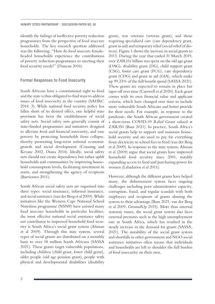identify the failings of ineffective poverty reduction programmes from the perspective of food insecure households. The key research question addressed was the following: "How do food insecure femaleheaded households experience the contributions of poverty reduction programmes to meeting their food security needs?" (Duncan 2016).

#### Formal Responses to Food Insecurity

South Africans have a constitutional right to food and the state is thus obligated to find ways to address issues of food insecurity in the country (SAHRC 2014: 3). While national food security policy has fallen short of its desired effect, one helpful state provision has been the establishment of social safety nets. Social safety nets generally consist of state-funded programmes and initiatives designed to alleviate food and financial insecurity, and ease poverty by protecting households from collapse, thereby promoting long-term national economic growth and social development (Conning and Kevane 2002, Diana 2014). Ideally, social safety nets should not create dependency but rather uplift households and communities by improving household consumption levels, facilitating investment in assets, and strengthening the agency of recipients (Barrientos 2011).

South African social safety nets are organised into three types: social insurance, informal insurance, and social assistance (van der Berg et al 2009). While initiatives like the Western Cape National School Nutrition programme (NSNP) have assisted many food insecure households in particular localities, the most effective national social assistance safety net contributor to improved household food security is South Africa's social grant system (Altman et al 2009). Through this state system, several types of social grants are distributed on a monthly basis to over 18 million South Africans (SASSA 2021). These grants target vulnerable populations, including children (child grant, foster child grant), older people (old age pension grant), people with physical and developmental disabilities (disability grant), war veterans (veteran grant), and those requiring specialized care (care dependency grant, grant in aid) and temporary relief (social relief of distress). Figure 1 shows the increase in social grants to 2013. During the year that ended 31 March 2019, over ZAR161 billion was spent on the old age grant (OAG), disability grant (DG), child support grant (CSG), foster care grant (FCG), care dependency grant (CDG) and grant in aid (GIA), which make up 99.23% of the full benefit spend (SASSA 2021). These grants are expected to remain in place but taper off over time (Carswell et al 2020). Each grant comes with its own financial value and applicant criteria, which have changed over time to include more vulnerable South Africans and better provide for their needs. For example, in response to the pandemic, the South African government created a short-term COVID-19 Relief Grant valued at ZAR350 (Bam 2021). In practice, South Africa's social grants help to support and maintain household security and are used to pay for everything from electricity to school fees to food (van der Berg et al 2009). In response to the state system, Altman et al (2009) argue that social grants have improved household food security since 2001, notably expanding access to food and purchasing power for women (Labadarios et al 2011).

However, although the different grants have helped many, the disbursement system faces ongoing challenges including poor administrative capacity, corruption, fraud, and regular scandals with both employees and recipients of grants abusing the system to their advantage (Bam 2021, van der Berg et al 2009, GroundUp 2015). More than internal systemic issues, the social grant system also faces external pressures such as the high unemployment rate in South Africa, which has resulted in the steady increase in the demand for grants (SASSA, 2021). The instability of the social grant system and shortfalls in other government and NGO social assistance initiatives often means that individuals and households are left to shoulder the full burden of food insecurity on their own.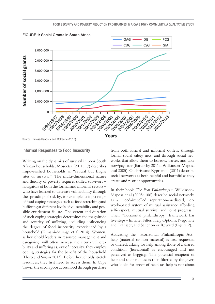

FIGURE 1: Social Grants in South Africa

Source: Hanass-Hancock and McKenzie (2017)

#### Informal Responses to Food Insecurity

Writing on the dynamics of survival in poor South African households, Mosoetsa (2011: 17) describes impoverished households as "crucial but fragile sites of survival." The multi-dimensional nature and fluidity of poverty requires skilled survivors – navigators of both the formal and informal sectors – who have learned to decrease vulnerability through the spreading of risk by, for example, using a range of food coping strategies such as food stretching and buffering at different levels of vulnerability and possible entitlement failure. The extent and duration of such coping strategies determines the magnitude and severity of suffering, including influencing the degree of food insecurity experienced by a household (Kimani-Murage et al 2014). Women, as household leaders in resource management and caregiving, will often increase their own vulnerability and suffering as, out of necessity, they employ coping strategies for the benefit of the household (Floro and Swain 2013). Before households stretch resources, they first need to access them. In Cape Town, the urban poor access food through purchase from both formal and informal outlets, through formal social safety nets, and through social networks that allow them to borrow, barter, and take now/pay later (Battersby 2011a, Wilkinson-Maposa et al 2005). Gilchrist and Kyprianou (2011) describe social networks as both helpful and harmful as they create and restrict opportunities.

In their book *The Poor Philanthropist*, Wilkinson-Maposa et al (2005: 106) describe social networks as a "need-impelled, reputation-mediated, network-based system of mutual assistance affording self-respect, mutual survival and joint progress." Their "horizontal philanthropy" framework has five steps - Initiate, Filter, Help Options, Negotiate and Transact, and Sanction or Reward (Figure 2).

Activating the "Horizontal Philanthropic Act" help (material or non-material) is first requested or offered; asking for help among those of a shared condition (horizontal) is encouraged and not perceived as begging. The potential recipient of help and their request is then filtered by the giver, who looks for proof of need (as help is not about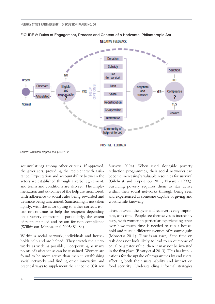

#### FIGURE 2: Rules of Engagement, Process and Content of a Horizontal Philanthropic Act **NEGATIVE FEEDBACK**

**POSITIVE FEEDBACK** 

Source: Wilkinson-Maposa et al (2005: 82)

accumulating) among other criteria. If approved, the giver acts, providing the recipient with assistance. Expectation and accountability between the actors are established through a verbal agreement, and terms and conditions are also set. The implementation and outcomes of the help are monitored, with adherence to social rules being rewarded and deviance being sanctioned. Sanctioning is not taken lightly, with the actor opting to either correct, isolate or continue to help the recipient depending on a variety of factors – particularly, the extent of recipient need and reason for non-compliance (Wilkinson-Maposa et al 2005: 81-84).

Within a social network, individuals and households help and are helped. They stretch their networks as wide as possible, incorporating as many points of assistance as can be sustained. Women are found to be more active than men in establishing social networks and finding other innovative and practical ways to supplement their income (Citizen

Surveys 2004). When used alongside poverty reduction programmes, their social networks can become increasingly valuable resources for survival (Gilchrist and Kyprianou 2011, Narayan 1999,). Surviving poverty requires them to stay active within their social networks through being seen and experienced as someone capable of giving and worthwhile knowing.

Trust between the giver and receiver is very important, as is time. People see themselves as incredibly busy, with women in particular experiencing stress over how much time is needed to run a household and pursue different avenues of resource gain (Mosoetsa 2011). Time is an asset, if the time on task does not look likely to lead to an outcome of equal or greater value, then it may not be invested in the first place (Beatty et al 2013). This has implications for the uptake of programmes by end users, affecting both their sustainability and impact on food security. Understanding informal strategies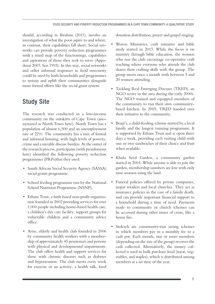should, according to Ibrahim (2011), involve an investigation of what the poor aspire to and where, in contrast, their capabilities fall short. Social networks can provide poverty reduction programmes with a mind map of the functionings, capabilities and aspirations of those they seek to serve (Appadurai 2007, Sen 1993). In this way, social networks and other informal responses to food insecurity could be used by both households and programmes to sustain and uplift their communities alongside more formal efforts like the social grant system.

# Study Site

The research was conducted in a low-income community on the outskirts of Cape Town (anonymized as North Town here). North Town has a population of almost 6,500 and an unemployment rate of 22%. The community has a mix of formal and informal housing, with high levels of poverty, crime and a sizeable disease burden. At the outset of the research process, participants (with pseudonyms here) identified the following poverty reduction programmes (PRPs)that they used:

- South African Social Security Agency (SASSA) social grants programme.
- • School feeding programme run by the National School Nutrition Programme (NSNP).
- • Etham Trust, a faith based non-profit organization founded in 2002 providing services for over 1,000 people including home-based health care, a children's day care facility, support groups for vulnerable children and a community advice office.
- • Arise, elderly and health club founded in 2006 by community health workers with a membership of approximately 45 pensioners and persons with physical and developmental impairments. The club offers health and support services for those with chronic diseases such as diabetes and hypertension. The club meets every week for exercise or an activity, a health talk, food

donation distribution, prayer and gospel singing.

- Woven Ministries, craft initiative and bible study started in 2013. While the focus is on ministry through bible education, the women who run the club encourage co-operative craft teaching where everyone who attends the club shares their crafting skills with the group. The group meets once a month with between 5 and 20 women attending.
- Tackling Real Emerging Diseases (TRED), an NGO active in the area during the early 2000s. The NGO trained and equipped members of the community to run their own communitybased kitchen. In 2005, TRED handed over their initiative to the community.
- Benji's, a child-feeding scheme started by a local family and the longest running programme. It is supported by Etham Trust and is open three days a week, providing each visiting child with one or two sandwiches of their choice and fruit when available.
- Khula Seed Garden, a community garden started in 2004. While anyone is able to join the garden, membership numbers are low with only nine women using the land.
- Funeral policies offered by private companies, major retailers and local churches. They act as insurance policies in the case of a family death, and can provide important financial support to a household during a time of need. Payments made to community or church schemes can be accessed during other times of crisis, like a house fire.
- Stokvels are community-run saving schemes in which members pay in a monthly fee to a cash pot. Each month, one or more members (depending on the size of the group) receives the cash collected. Alternatively, the money collected is used to bulk purchase food (meat, vegetables, and staples), which is distributed among members at a set time of the year.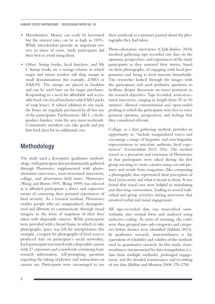- Microlenders: Money can easily be borrowed but the interest rates can be as high as 150%. While microlenders provide an important service in times of crisis, study participants did their best to avoid using them.
- Other: Stamp books, local butchers, and Mr I. Stamp books are a savings scheme in which major and minor retailers sell shop stamps in small denominations (for example, ZAR5 or ZAR10). The stamps are placed in booklets and can be used later on for larger purchases. Responding to a need for affordable and accessible food, two local butcheries sold ZAR5 packs of soup bones. A valued addition to any meal, the bones are regularly purchased by all but one of the participants. Furthermore, Mr I, a freshproduce hawker, visits the area most weekends. Community members can take goods and pay him back later for no additional cost.

### Methodology

The study used a descriptive qualitative methodology, with participant data predominantly gathered through Photovoice supplemented with photoelicitation interviews, semi-structured interviews, collage, and observation field notes. Photovoice (Wang and Burris 1997, Wang 1999) was selected as it afforded participants a direct and expressive means of conveying their personal experiences of food security. As a research method, Photovoice enables people who are marginalized, disempowered and illiterate to communicate through visual imagery in the form of snapshots of their lives taken with disposable cameras. While participants were provided with a broad frame in which to take photographs, space was left for interpretation (for example, a request for photographs of food sources produced data on participant's social networks). Each participant was issued with a disposable camera with 27 exposures and a notebook containing basic research information, self-prompting questions regarding the taking of photos, and instructions on camera use. Participants were encouraged to use

their notebook as a memory journal about the photographs they had taken.

Photo-elicitation interviews (Clark-Ibáñez 2004) involved gathering tape recorded raw data on the opinions, perspectives, and experiences of the study participants as they narrated their stories, based on their photographs, of engaging with local programmes and living as food insecure households. The researcher looked through the images with the participants and used probative questions to facilitate deeper discussion on issues pertinent to the research objectives. Tape recorded, semi-structured interviews, ranging in length from 20 to 90 minutes, allowed conversational and open-ended probing in which the participants were free to voice personal opinions, perspectives, and feelings that they considered relevant.

Collage, as a data gathering method, provides an opportunity to "include marginalized voices and encourage a range of linguistic and non-linguistic representations to articulate authentic lived experiences" (Gerstenblatt 2013: 294). The method served as a precursor and extension of Photovoice in that participants were asked during the first group meeting to create a poster using cut-out pictures and words from magazines (like composing a photograph) that represented their perception of food (in)security and what it meant to them. It was found that visual cues were helpful in stimulating and directing conversation, leading to several individual and group activities during interviews that involved verbal and visual engagement.

All tape-recorded data was transcribed semiverbatim into textual form and analyzed using inductive coding. As units of meaning, the codes were then grouped into sub-categories and categories before themes were identified (Saldaña 2013). In qualitative research, trustworthiness is the equivalent of reliability and validity of the methods used in quantitative research. In this study, trustworthiness was promoted by data triangulation (i.e. data from multiple methods), prolonged engagement, and the detailed maintenance and recording of raw data (Babbie and Mouton 2008: 276-278).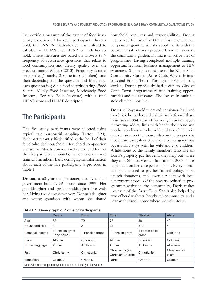To provide a measure of the extent of food insecurity experienced by each participant's household, the FANTA methodology was utilized to calculate an HFIAS and HFIAP for each household. These measures are based on answers to 9 frequency-of-occurrence questions that relate to food consumption and dietary quality over the previous month (Coates 2013). Frequency is rated on a scale (1=rarely, 2=sometimes, 3=often), and then depending on the question and frequency, each question is given a food security rating (Food Secure, Mildly Food Insecure, Moderately Food Insecure, Severely Food Insecure) with a final HFIAS score and HFIAP descriptor.

### The Participants

The five study participants were selected using typical case purposeful sampling (Patton 1990). Each participant self-identified as the head of their female-headed household. Household composition and size in North Town is rarely static and four of the five participant households had one or more transient members. Basic demographic information about each of the five participants is provided in Table 1.

**Donna**, a 68-year-old pensioner, has lived in a government-built RDP house since 1999. Her granddaughter and great-granddaughter live with her. Living two doors down were Donna's daughter and young grandson with whom she shared

TABLE 1: Demographic Profile of Participants

household resources and responsibilities. Donna last worked full time in 2001 and is dependent on her pension grant, which she supplements with the occasional sale of fresh produce from her work in the community garden. Donna is an active user of programmes, having completed multiple training opportunities from business management to HIV awareness. She makes most use of the Khula Seed Community Garden, Arise Club, Woven Ministries and Etham Trust. Through her work in the garden, Donna previously had access to City of Cape Town programme-related training opportunities and aid assistance. She invests in multiple stokvels when possible.

**Doris**, a 72-year-old widowed pensioner, has lived in a brick house located a short walk from Etham Trust since 1994. One of her sons, an unemployed recovering addict, lives with her in the house and another son lives with his wife and two children in an extension on the house. Also on the property is a backyard bungalow where one of her grandsons occasionally stays with his wife and two children. While none of the family members who live on Doris's property pay her rent, they help out where they can. She last worked full time in 2007 and is dependent on her state pension grant. Every month her grant is used to pay her funeral policy, make church donations, and lower her debt with local department stores. Of the poverty reduction programmes active in the community, Doris makes most use of the Arise Club. She is also helped by two of her daughters, her church community, and a nearby children's home where she volunteers.

|                                                                     | Donna                         | <b>Doris</b>    | Ethel                                   | Elizabeth               |                         |  |  |
|---------------------------------------------------------------------|-------------------------------|-----------------|-----------------------------------------|-------------------------|-------------------------|--|--|
| Age                                                                 | 68                            | 72              | 73                                      | 58                      | 49                      |  |  |
| Household size                                                      | 3                             | $2+$            | $2+$                                    | $8 - 9$                 | 4                       |  |  |
| Personal income                                                     | 1 Pension grant<br>Food sales | 1 Pension grant | Pension grant                           | 1 Foster child<br>grant |                         |  |  |
| Race                                                                | African                       | Coloured        | African                                 | Coloured                | Coloured                |  |  |
| Home language                                                       | Xhosa                         | Afrikaans       | Xhosa                                   | Afrikaans               | Afrikaans               |  |  |
| Faith                                                               | Christianity                  | Christianity    | Christianity (Zion<br>Christian Church) | Christianity            | Christianity /<br>Islam |  |  |
| Education                                                           | Grade 9                       | Grade 8         | None                                    | Grade 7                 | Grade 8                 |  |  |
| Note: All names are pseudonyms to protect the identity of the women |                               |                 |                                         |                         |                         |  |  |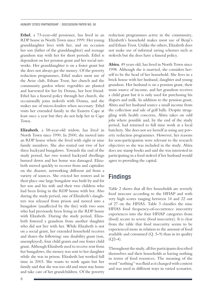**Ethel**, a 73-year-old pensioner, has lived in an RDP house in North Town since 1999. Her young granddaughter lives with her, and on occasion her son (father of the granddaughter) and teenage grandson stay with her for short periods. Ethel is dependent on her pension grant and her social networks. Her granddaughter is on a foster grant but she does not always get the money. Of the poverty reduction programmes, Ethel makes most use of the Arise club, Etham Trust, her church and the community garden where vegetables are planted and harvested for her by Donna, her best friend. Ethel has a funeral policy through her church, she occasionally joins stokvels with Donna, and she makes use of micro-lenders when necessary. Ethel visits her extended family in the Eastern Cape at least once a year but they do not help her in Cape Town.

**Elizabeth**, a 58-year-old widow, has lived in North Town since 1990. In 2000, she moved into an RDP house where she lived with eight or nine family members. She also rented out two of her three backyard bungalows. Towards the end of the study period, her two rented backyard dwellings burned down and her home was damaged. Elizabeth moved quickly to recover from and capitalize on the disaster, networking different aid from a variety of sources. She evicted her renters and in their place one large bungalow was built by and for her son and his wife and their two children who had been living in the RDP house with her. Also during the study period, one of Elizabeth's daughters was released from prison and moved into a bungalow (unaffected by the fire) with two sons who had previously been living in the RDP house with Elizabeth. During the study period, Elizabeth fostered a grandson from another daughter who did not live with her. While Elizabeth is not on a social grant, her extended household receives and shares the following: one disability grant (son, unemployed), four child grants and one foster child grant. Although Elizabeth used to receive rent from her bungalows, the money was sent to her daughter while she was in prison. Elizabeth last worked full time in 2003. She wants to work again but her family said that she was too old and must stay home and take care of her grandchildren. Of the poverty reduction programmes active in the community, Elizabeth's household makes most use of Benji's and Etham Trust. Unlike the others, Elizabeth does not make use of informal saving schemes such as stokvels but she does have a funeral policy.

**Abira**, 49 years old, has lived in North Town since 1998. Although she is married, she considers herself to be the head of her household. She lives in a brick house with her husband, daughter and young grandson. Her husband is on a pension grant, their main source of income, and her grandson receives a child grant but it is only used for purchasing his diapers and milk. In addition to the pension grant, Abira and her husband source a small income from the collection and sale of golf balls. Despite struggling with health concerns, Abira takes on odd jobs where possible and, by the end of the study period, had returned to full time work at a local butchery. She does not see herself as using any poverty reduction programmes. However, her reasons for non-participation were relevant to the research objectives so she was included in the study. Abira does use stamp books and said she was interested in participating in a food stokvel if her husband would agree to providing the capital.

### Findings

Table 2 shows that all five households are severely food insecure according to the HFIAP and with very high scores ranging between 14 and 22 out of 27 on the HFIAS. Table 3 classifies the nine HFIAS food frequency-of-occurrence insecurity experiences into the four HFIAP categories from (food) secure to severe (food insecurity). It is clear from the table that food insecurity seems to be experienced more in relation to the amount of food available and consumed  $(Q. 5-9)$  than in its quality  $(Q2-4)$ .

Throughout the study, all five participants described themselves and their households as having nothing in terms of food resources. The meaning of the word "nothing" was fluid as it changed with context and was used in different ways in varied scenarios.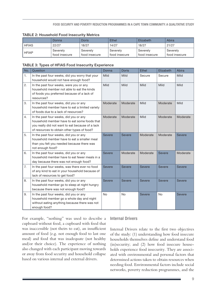#### FOOD SECURITY AND POVERTY REDUCTION PROGRAMMES IN A CAPE TOWN COMMUNITY: A QUALITATIVE STUDY

|              | Donna         | Doris         | <b>Ethel</b>  | Elizabeth     | Abira         |  |
|--------------|---------------|---------------|---------------|---------------|---------------|--|
| <b>HFIAS</b> | 22/27         | 18/27         | 14/27         | 18/27         | 21/27         |  |
| <b>HFIAP</b> | Severely      | Severely      | Severely      | Severely      | Severely      |  |
|              | food insecure | food insecure | food insecure | food insecure | food insecure |  |

#### TABLE 2: Household Food Insecurity Metrics

#### TABLE 3: Types of HFIAS Food Insecurity Experience

| No. | Question                                                                                                                                                                                  | Donna         | <b>Doris</b>  | <b>Ethel</b>  | Elizabeth     | Abira         |
|-----|-------------------------------------------------------------------------------------------------------------------------------------------------------------------------------------------|---------------|---------------|---------------|---------------|---------------|
| 1.  | In the past four weeks, did you worry that your<br>household would not have enough food?                                                                                                  | Mild          | Mild          | Secure        | Secure        | Mild          |
| 2.  | In the past four weeks, were you or any<br>household member not able to eat the kinds<br>of foods you preferred because of a lack of<br>resources?                                        | Mild          | Mild          | Mild          | Mild          | Mild          |
| 3.  | In the past four weeks, did you or any<br>household member have to eat a limited variety<br>of foods due to a lack of resources?                                                          | Moderate      | Moderate      | Mild          | Moderate      | Mild          |
| 4.  | In the past four weeks, did you or any<br>household member have to eat some foods that<br>you really did not want to eat because of a lack<br>of resources to obtain other types of food? | Moderate      | Moderate      | Mild          | Moderate      | Moderate      |
| 5.  | In the past four weeks, did you or any<br>household member have to eat a smaller meal<br>than you felt you needed because there was<br>not enough food?                                   | Severe        | Severe        | Moderate      | Moderate      | <b>Severe</b> |
| 6.  | In the past four weeks, did you or any<br>household member have to eat fewer meals in a<br>day because there was not enough food?                                                         | <b>Severe</b> | Moderate      | Moderate      | <b>Severe</b> | Moderate      |
| 7.  | In the past four weeks, was there ever no food<br>of any kind to eat in your household because of<br>lack of resources to get food?                                                       | Severe        | <b>Severe</b> | <b>Severe</b> | <b>Severe</b> | <b>Severe</b> |
| 8.  | In the past four weeks, did you or any<br>household member go to sleep at night hungry<br>because there was not enough food?                                                              | <b>Severe</b> | Severe        | <b>Severe</b> | <b>Severe</b> | <b>Severe</b> |
| 9.  | In the past four weeks, did you or any<br>household member go a whole day and night<br>without eating anything because there was not<br>enough food?                                      | <b>No</b>     | <b>No</b>     | <b>Severe</b> | <b>No</b>     | Severe        |

For example, "nothing" was used to describe a cupboard without food, a cupboard with food that was inaccessible (not theirs to eat), an insufficient amount of food (e.g. not enough food to last one meal) and food that was inadequate (not healthy and/or their choice). The experience of nothing also changed with each participant moving towards or away from food security and household collapse based on various internal and external drivers.

#### Internal Drivers

Internal Drivers relate to the first two objectives of the study: (1) understanding how food insecure households themselves define and understand food (in)security; and (2) how food insecure households experience food insecurity. They are associated with environmental and personal factors that determined actions taken to obtain resources when needing food. Environmental factors include social networks, poverty reduction programmes, and the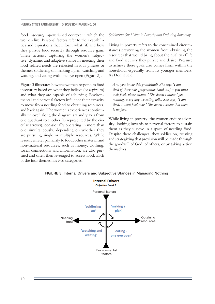food insecure/impoverished context in which the women live. Personal factors refer to their capabilities and aspirations that inform what, if, and how they pursue food security through resource gain. These actions, capturing the women's subjective, dynamic and adaptive stance in meeting their food-related needs are reflected in four phrases or themes: soldiering on, making a plan, watching and waiting, and eating with one eye open (Figure 3).

Figure 3 illustrates how the women respond to food insecurity based on what they believe (or aspire to) and what they are capable of achieving. Environmental and personal factors influence their capacity to move from needing food to obtaining resources, and back again. The women's experiences continually "move" along the diagram's x and y axis from one quadrant to another (as represented by the circular arrows), occasionally operating in more than one simultaneously, depending on whether they are pursuing single or multiple resources. While resources refer primarily to food, other material and non-material resources, such as money, clothing, social connections and information, are also pursued and often then leveraged to access food. Each of the four themes has two categories.

*Soldiering On: Living in Poverty and Enduring Adversity*

Living in poverty refers to the constrained circumstances preventing the women from obtaining the resources that would bring about the quality of life and food security they pursue and desire. Pressure to achieve these goals also comes from within the household, especially from its younger members. As Donna said:

*And you know this grandchild? She says 'I am tired of these rolls [programme hand out] – you must cook food, please mama.' She doesn't know I got nothing, every day we eating rolls. She says, 'I am tired, I want food now.' She doesn't know that there is no food.*

While living in poverty, the women endure adversity, looking inwards to personal factors to sustain them as they survive in a space of needing food. Despite these challenges, they soldier on, trusting and strategizing that provision will be made through the goodwill of God, of others, or by taking action themselves.



FIGURE 3: Internal Drivers and Subjective Stances in Managing Nothing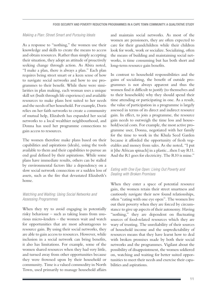#### *Making a Plan: Street Smart and Pursuing Ideals*

As a response to "nothing," the women use their knowledge and skills to create the means to access and obtain resources. Rather than simply accepting their situation, they adopt an attitude of proactively seeking change through action. As Abira noted, "I make a plan, there is always a plan." Each plan requires being street smart or a keen sense of how to navigate social networks and how to use programmes to their benefit. While there were similarities in plan making, each woman uses a unique skill set (built through life experience) and available resources to make plans best suited to her needs and the needs of her household. For example, Doris relies on her faith networks to create a community of mutual help, Elizabeth has expanded her social networks to a local wealthier neighbourhood, and Donna has used her programme connections to gain access to resources.

The women therefore make plans based on their capabilities and aspirations (ideals), using the tools available to them and their capabilities to pursue an end goal defined by their aspirations. While some plans have immediate results, others can be stalled by environmental factors like a dependency on a slow social network connection or a sudden loss of assets, such as the fire that devastated Elizabeth's home.

#### *Watching and Waiting: Using Social Networks and Assessing Programmes*

When they try to avoid engaging in potentially risky behaviour – such as taking loans from usurious micro-lenders – the women wait and watch for opportunities that are most advantageous to resource gain. By using their social networks, they are able to gain access to resources. However, while inclusion in a social network can bring benefits, it also has limitations. For example, some of the women shared resources when they had very little, and turned away from other opportunities because they were frowned upon by their household or community. Time is a valued commodity in North Town, used primarily to manage household affairs

and maintain social networks. As most of the women are pensioners, they are often expected to care for their grandchildren while their children look for work, work or socialize. Socializing, often the means of building and maintaining social networks, is time consuming but has both short and long-term resource gain benefits.

In contrast to household responsibilities and the gains of socializing, the benefit of outside programmes is not always apparent and thus the women find it difficult to justify (to themselves and to their households) why they should spend their time attending or participating in one. As a result, the value of participation in a programme is largely assessed in terms of its direct and indirect resource gain. In effect, to join a programme, the resource gain needs to outweigh the time loss and household/social costs. For example, the most active programme user, Donna, negotiated with her family for the time to work in the Khula Seed Garden because it afforded the opportunity of fresh vegetables and money from sales. As she noted, "I put it [the African spinach] in a plastic...then I say R11. And the R1 goes for electricity. The R10 is mine."

#### *Eating with One Eye Open: Living Out Poverty and Dealing with Broken Promises*

When they enter a space of potential resource gain, the women retain their street smartness and cautiously navigate their new found relationships, often "eating with one eye open". The women live out their poverty when they are forced by circumstance to give up aspects of their autonomy. Having "nothing," they are dependent on fluctuating sources of food-related resources which they are wary of trusting. The unreliability of their sources of household income and the unpredictability of resources means that they have learnt how to deal with broken promises made by both their social networks and the programmes. Vigilant about the possibility of disappointment, the women soldiered on, watching and waiting for better suited opportunities to meet their needs and exercise their capabilities and aspirations.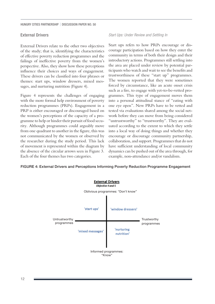#### External Drivers

External Drivers relate to the other two objectives of the study; that is, identifying the characteristics of effective poverty reduction programmes and the failings of ineffective poverty from the women's perspective. Also, they show how these perceptions influence their choices and ways of engagement. These drivers can be classified into four phrases or themes: start ups, window dressers, mixed messages, and nurturing nutrition (Figure 4).

Figure 4 represents the challenges of engaging with the more formal help environment of poverty reduction programmes (PRPs). Engagement in a PRP is either encouraged or discouraged based on the women's perceptions of the capacity of a programme to help or hinder their pursuit of food security. Although programmes could arguably move from one quadrant to another in the figure, this was not communicated by the women or observed by the researcher during the study period. This lack of movement is represented within the diagram by the absence of the circular arrows seen in Figure 3. Each of the four themes has two categories.

#### *Start Ups: Under Review and Settling In*

Start ups refers to how PRPs encourage or discourage participation based on how they enter the community in terms of both their design and their introductory actions. Programmes still settling into the area are placed under review by potential participants who watch and wait to see the benefits and trustworthiness of these "start up" programmes. The women reported that they were sometimes forced by circumstance, like an acute onset crisis such as a fire, to engage with yet-to-be-vetted programmes. This type of engagement moves them into a personal attitudinal stance of "eating with one eye open". New PRPs have to be vetted and tested via evaluations shared among the social network before they can move from being considered "untrustworthy" to "trustworthy". They are evaluated according to the extent to which they settle into a local way of doing things and whether they encourage or discourage community partnership, collaboration, and support. Programmes that do not have sufficient understanding of local community dynamics can be pushed out of the area through, for example, non-attendance and/or vandalism.

#### FIGURE 4: External Drivers and Perceptions Informing Poverty Reduction Programme Engagement

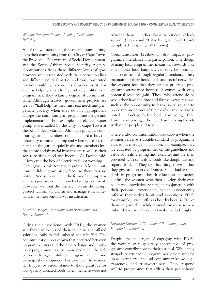*Window Dressers: Political Building Blocks and Half Help*

All of the women noted the contributions coming in to their community from the City of Cape Town, the Provincial Department of Social Development, and the South African Social Security Agency. Contributions from these different levels of government were associated with their corresponding and different political parties and thus constituted political building blocks. Local government was seen as helping sporadically and yet, unlike local programmes, they retain a degree of community trust. Although trusted, government projects are seen as "half help" as they miss real needs and perpetuate poverty when they do not appropriately engage the community in programme design and implementation. For example, an electric water pump was installed by the City of Cape Town at the Khula Seed Garden. Although grateful, community garden members could not afford to buy the electricity to run the pump and when it breaks, the plants in the garden quickly die and members lose their time and financial investments as well as their access to fresh food and income. As Donna said: "Now even the box of electricity is not working… They gave us this tomato, it grows so long…but, now it didn't grow nicely because there was no water." Access to water in the form of a pump was seen as a positive contribution by local government. However, without the finances to run the pump, protect it from vandalism and manage its maintenance, the intervention was insufficient.

#### *Mixed Messages: Communication Breakdown and Double Standards*

Citing their experience with PRPs, the women said they had expressed their concerns and offered solutions, only to feel unheard and rebuffed. The communication breakdown that occurred between programme users and those who design and implement programmes was compounded when the lack of open dialogue inhibited programme help and participant development. For example, the women felt trapped by circumstance to show gratitude for low-quality donated foods when the items were not of use to them: "I rather take it then it doesn't look so bad" (Doris) and "I stay hungry…[but] I can't complain, they giving us" (Donna).

Communication breakdown also impacts programme attendance and participation. The design of many local programmes means that rewards, like end-of-year food hampers, can only be accumulated over time through regular attendance. Busy maintaining their households and social networks, the women feel that they cannot prioritize programme attendance because it comes with only potential resource gain. Those who attend do so when they have the time and for their own reasons, such as the opportunity to learn, socialize, and to break the monotony of their daily lives. As Doris noted: "I don't go for the food…I am going…then I am not so boring at home…I am making friends with other people and so on."

There is also communication breakdown when the women perceive a double standard of programme education, message, and action. For example, they are educated by programmes on the guidelines and value of healthy eating and exercise, and are then provided with unhealthy foods like doughnuts and sugary drinks. "They say that thing is wrong but they give us," observed Donna. Such double standards in programme health education and action confuse the women who then develop their own belief and knowledge systems, in conjunction with their personal experiences, which subsequently informs their eating habits and aspirations. Ethel, for example, saw muffins as healthy because "I like them very much," while canned tuna was seen as unhealthy because "it doesn't make me feel alright."

#### *Nurturing Nutrition: Affirmation of Personhood and Equipped and Enabled*

Despite the challenges of engaging with PRPs, the women were generally appreciative of programme contributions to their survival. While they struggle to trust some programmes, others are held up as exemplars of sound community knowledge, awareness, and trustworthiness. They respond well to programmes that affirm their personhood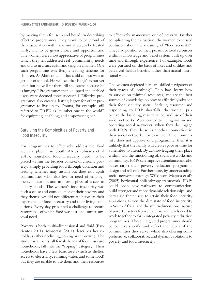by making them feel seen and heard. In describing effective programmes, they want to be proud of their association with these initiatives, to be treated fairly, and to be given choice and opportunities. The women were most appreciative of programmes which they felt addressed real (community) needs and did so in a successful and tangible manner. One such programme was Benji's feeding scheme for children. As Abira noted: "that child cannot wait to get out of school. He will see that Benji's is not yet open but he will sit there till she opens because he is hungry." Programmes that equipped and enabled users were deemed most successful. Effective programmes also create a lasting legacy for other programmes to live up to. Donna, for example, still referred to TRED as "number one in the world" for equipping, enabling, and empowering her.

#### Surviving the Complexities of Poverty and Food Insecurity

For programmes to effectively address the food security plateau in South Africa (Shisana et al 2013), household food insecurity needs to be placed within the broader context of chronic poverty. Simply providing food through donation and feeding schemes may sustain but does not uplift communities who also live in need of employment, education, and improved physical access to quality goods. The women's food insecurity was both a cause and consequence of their poverty and they themselves did not differentiate between their experience of food insecurity and their living conditions. Every day presented a challenge to secure resources – of which food was just one unmet survival need.

Poverty is both multi-dimensional and fluid (Barrientos 2011). Mosoetsa (2011) describes households as either declining, coping or improving. The study participants, all female heads of food insecure households, fall into the "coping" category. Their households have a few basic assets (such as shelter, access to electricity, running water, and some food) but they are unable to use them and their resources

to effectively manoeuvre out of poverty. Further complicating their situation, the women expressed confusion about the meaning of "food security". They had positioned their pursuit of food resources within a knowledge and belief system built up over time and through experience. For example, foods were pursued on the basis of likes and dislikes and perceived health benefits rather than actual nutritional value.

The women depicted here are skilled navigators of their spaces of "nothing". They have learnt how to survive on minimal resources, and are the best sources of knowledge on how to effectively advance their food security status. Seeking resources and responding to PRP shortfalls, the women prioritize the building, maintenance, and use of their social networks. Accustomed to living within and operating social networks, when they do engage with PRPs, they do so as another connection in their social network. For example, if the community does not approve of a programme, then it is unlikely that the family will create space or time for a member to attend. By acknowledging their place within, and the functioning of, social networks and community, PRPs can improve attendance and also better target their poverty reduction programme design and roll out. Furthermore, by understanding social networks through Wilkinson-Maposa et al's (2005) horizontal philanthropy framework, PRPs could open new pathways to communication, build stronger and more dynamic relationships, and better aid their users to attain their food security aspirations. Given the dire state of food insecurity in South Africa, and the multi-dimensional nature of poverty, actors from all sectors and levels need to work together to form integrated poverty reduction programmes. These integrated programmes should be context specific and reflect the needs of the communities they serve, while also offering comprehensive, collaborative, and dynamic solutions to poverty and food insecurity.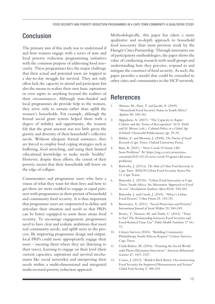### Conclusion

The primary aim of this study was to understand if and how women engage with a series of state and local poverty reduction programming initiatives with the common purpose of addressing food insecurity. These programmes face the major challenge that their actual and potential users are trapped in a day-to-day struggle for survival. They not only often lack the capacity to attend and participate but also the means to realize their own basic aspirations or even aspire to anything beyond the realities of their circumstances. Although state-funded and local programmes do provide help to the women, they serve only to sustain rather than uplift the women's households. For example, although the formal social grant system helped them with a degree of stability and opportunity, the women felt that the grant amount was too little given the gravity and diversity of their household's collective needs. Without adequate formal assistance, they are forced to employ food coping strategies such as buffering, food stretching, and using their limited educational knowledge to make meals 'healthy'. However, despite these efforts, the extent of their poverty means that their households still hover on the edge of collapse.

Communities and programme users who have a vision of what they want for their lives and how to get there are more enabled to engage as equal partners with programmes in their pursuit of household and community food security. It is thus important that programme users are empowered to define and articulate their situation and needs so that PRPs can be better equipped to assist them attain food security. To encourage engagement, programmes need to have clear and realistic ambitions that meet real community needs, and uplift users in the process. By improving programme design and output, local PRPs could more appropriately engage their users – meeting them where they are (listening to their voice), learning to engage on their level (their current capacities, aspirations and survival mechanisms like social networks) and interpreting their needs within a multi-dimensional and integrated multi-sectoral poverty reduction approach.

Methodologically, this paper has taken a more qualitative and in-depth approach to household food insecurity than most previous work by the Hungry Cities Partnership. Through innovative use of participatory methodologies, the paper shows the value of conducting research with small groups and understanding how they perceive, respond to and mitigate the construct of food security. As such, the paper provides a model that could be extended to other cities and communities in the HCP network.

### References

- 1. Altman, M., Hart, T. and Jacobs, P. (2009). "Household Food Security Status in South Africa" *Agrekon* 48: 345-361.
- 2. Appadurai, A. (2007). "The Capacity to Aspire: Culture and the Terms of Recognition" In D. Held and H. Moore (eds.), *Cultural Politics in a Global Age*  (Oxford: Oneworld Publications), pp. 29-35.
- 3. Babbie, E. and Mouton, J. (2008). *The Practice of Social Researc*h (Cape Town: Oxford University Press).
- 4. Bam, B. (2021). "New Covid-19 Grant, Old Sassa Problems" At: [https://mg.co.za/coronavirus](https://mg.co.za/coronavirus-essentials/2021-03-23-new-covid-19-grant-old-sassa-problems/)[essentials/2021-03-23-new-covid-19-grant-old-sassa](https://mg.co.za/coronavirus-essentials/2021-03-23-new-covid-19-grant-old-sassa-problems/)[problems/](https://mg.co.za/coronavirus-essentials/2021-03-23-new-covid-19-grant-old-sassa-problems/)
- 5. Battersby, J. (2011a). *The State of Urban Food Insecurity in Cape Town.* AFSUN Urban Food Security Series No. 11, Cape Town.
- 6. Battersby, J. (2011b). "Urban Food Insecurity in Cape Town, South Africa: An Alternative Approach to Food Access" *Development Southern Africa* 8(04): 545-561.
- 7. Battersby, J. and Crush, J. (2014). "Africa's Urban Food Deserts" *Urban Forum* 25: 143-151.
- 8. Barrientos, A. (2011). "Social Protection and Poverty" *International Journal of Social Welfare* 20: 240-249.
- 9. Beatty, T., Nanney, M. and Tuttle, C. (2013). "Time to Eat? The Relationship between Food Security and Food-Related Time Use" *Public Health Nutrition* 17: 66- 72.
- 10. Citizen Surveys (2004). "Building Community Philanthropy South African Report" Citizen Surveys, Cape Town.
- 11. Clark-Ibáñez, M. (2004). "Framing the Social World with Photo-Elicitation Interviews" *American Behavioural Scientist* 47: 1507-1527.
- 12. Coates, J. (2013). "Build it Back Better: Deconstructing Food Security for Improved Measurement and Action" *Global Food Security* 2: 188-194.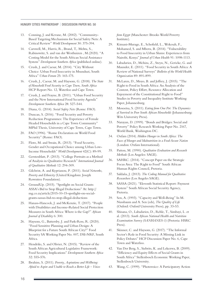- 13. Conning, J. and Kevane, M. (2002). "Community-Based Targeting Mechanisms for Social Safety Nets: A Critical Review" *World Development* 30: 375-394.
- 14. Carswell, M., Harris, R., Brand, T,. Mehta, S., Rabinowitz, S. and van der Westhuizen , M.(2020). "A Costing Model for the South African Social Assistance System" *Development Southern Africa* (published online).
- 15. Crush, J. and Caesar, M. (2014). "City Without Choice: Urban Food Insecurity in Msunduzi, South Africa" *Urban Forum* 25: 165-175.
- 16. Crush, J., Caesar, M. and Haysom, G. (2018). *The State of Household Food Security in Cape Town, South Africa* HCP Report No. 12, Waterloo and Cape Town.
- 17. Crush, J. and Frayne, B. (2011). "Urban Food Security and the New International Food Security Agenda" *Development Southern Africa* 28: 527-544.
- 18. Diana, G. (2014). *Social Safety Nets* (Rome: FAO).
- 19. Duncan, S. (2016). "Food Security and Poverty Reduction Programmes: The Experience of Female Headed Households in a Cape Town Community" MPhil Thesis, University of Cape Town, Cape Town.
- 20. FAO (1996). "Rome Declaration on World Food Security" (Rome: FAO).
- 21. Floro, M. and Swain, R. (2013). "Food Security, Gender and Occupational Choice among Urban Low-Income Households" *World Development* 42(C): 89-99.
- 22. Gerstenblatt, P. (2013). "College Portraits as a Method of Analysis in Qualitative Research" *International Journal of Qualitative Methods* 12: 294-309.
- 23. Gilchrist, A. and Kyprianou, P. (2011). *Social Networks, Poverty and Ethnicity* (United Kingdom: Joseph Rowntree Foundation).
- 24. GroundUp. (2015). "Spotlight on Social Grants: ASSA's Bid to Stop Illegal Deductions" At: [http://](http://mg.co.za/article/2015-10-15-spotlight-on-social-grants-sassas-bid-to-stop-illegal-deductions) [mg.co.za/article/2015-10-15-spotlight-on-social](http://mg.co.za/article/2015-10-15-spotlight-on-social-grants-sassas-bid-to-stop-illegal-deductions)[grants-sassas-bid-to-stop-illegal-deductions](http://mg.co.za/article/2015-10-15-spotlight-on-social-grants-sassas-bid-to-stop-illegal-deductions)
- 25. Hanass-Hancock, J. and McKenzie, T. (2017). "People with Disabilities and Income-Related Social Protection Measures in South Africa: Where is the Gap?" *African Journal of Disability* 6: 300.
- 26. Haysom, G., Battersby, J. and Park-Ross, R. (2020). "Food Sensitive Planning and Urban Design: A Blueprint for a Future South African City?" Food Security SA Working Paper No. 007, DSI-NRF, South Africa.
- 27. Hendriks, S. and Olivier, N. (2015). "Review of the South African Agricultural Legislative Framework: Food Security Implications" *Development Southern Africa* 32: 555-576.
- 28. Ibrahim, S. (2011). *Poverty, Aspirations and Wellbeing: Afraid to Aspire and Unable to Reach a Better Life – Voices*

*from Egypt* (Manchester: Brooks World Poverty Institute).

- 29. Kimani-Murage, E., Schofield, L., Wekesah, F., Mohamed, S. and Mberu, B. (2014). "Vulnerability to Food Insecurity in Urban Slums: Experiences from Nairobi, Kenya" *Journal of Urban Health* 91: 1098-1113.
- 30. Labadarios, D., Mchiza, Z., Steyn, N., Gericke, G. and Maunder, E. (2011). "Food Security in South Africa: A Review of National Surveys" *Bulletin of the World Health Organization* 89: 891-899.
- 31. McLaren, D., Moyo, B. and Jeffrey, J. (2015). "The Right to Food in South Africa: An Analysis of the Content, Policy Effort, Resource Allocation and Enjoyment of the Constitutional Right to Food" Studies in Poverty and Inequality Institute Working Paper, Johannesburg.
- 32. Mosoetsa, S. (2011). *Eating from One Pot: The Dynamics of Survival in Poor South African Households* (Johannesburg: Wits University Press).
- 33. Narayan, D. (1999). "Bonds and Bridges: Social and Poverty" Policy Research Working Paper No. 2167, World Bank, Washington DC.
- 34. Oxfam (2014). *Hidden Hunger in South Africa: The Faces of Hunger and Malnutrition in a Food-Secure Nation* (London: Oxfam International).
- 35. Patton, M. (1990). *Qualitative Evaluation and Research Methods* (Los Angeles: SAGE).
- 36. SAHRC. (2014). "Concept Paper on the Strategic Focus Area: The Right to Food" South African Human Rights Council, Pretoria.
- 37. Saldaña, J. (2013). *The Coding Manual for Qualitative Researchers* (Los Angeles SAGE).
- 38. SASSA (2021). "Eleventh Statistical Report: Payment System" South African Social Security Agency, Pretoria.
- 39. Sen, A. (1993). "Capacity and Well-Being" In M. Nussbaum and A. Sen (eds), *The Quality of Life*  (Oxford: Oxford University Press), pp. 33-53.
- 40. Shisana, O., Labadarios, D., Rehle, T., Simbayi, L. et al. (2013). *South African National Health and Nutrition Examination Survey (SANHANES-1)* (Pretoria: HSRC Press).
- 41. Skinner, C. and Haysom, G. (2017). "The Informal Sector's Role in Food Security: A Missing Link in Policy Debates" HCP Discussion Paper No. 6, Cape Town and Waterloo.
- 42. Van Der Berg, S., Siebrits, K. and Lekezwa, B. (2009). "Efficiency and Equity Effects of Social Grants in South Africa" Stellenbosch Economic Working Paper, Stellenbosch University.
- 43. Wang, C. (1999). "Photovoice: A Participatory Action